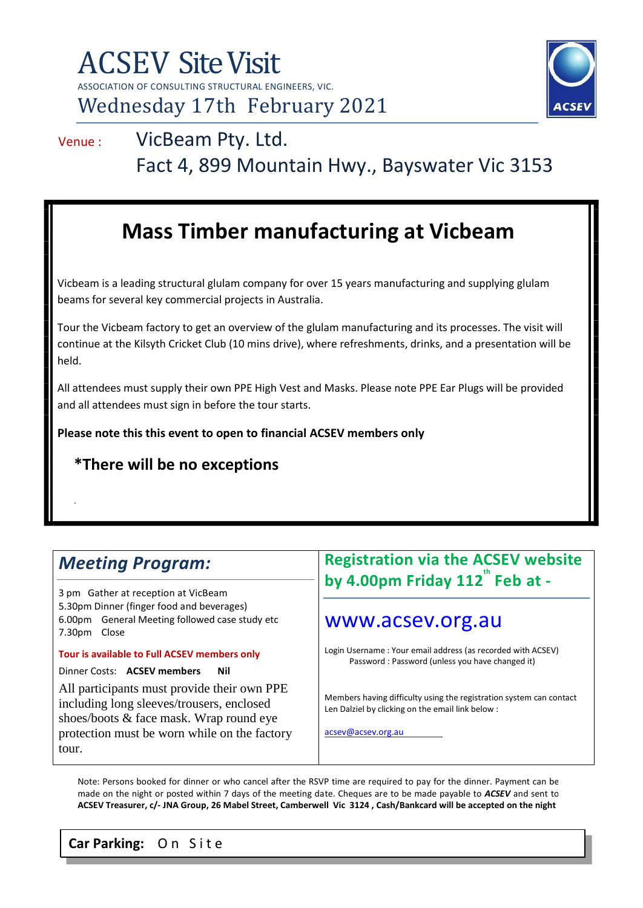

## Venue : VicBeam Pty. Ltd. Fact 4, 899 Mountain Hwy., Bayswater Vic 3153

## **Mass Timber manufacturing at Vicbeam**

Vicbeam is a leading structural glulam company for over 15 years manufacturing and supplying glulam beams for several key commercial projects in Australia.

Tour the Vicbeam factory to get an overview of the glulam manufacturing and its processes. The visit will continue at the Kilsyth Cricket Club (10 mins drive), where refreshments, drinks, and a presentation will be held.

All attendees must supply their own PPE High Vest and Masks. Please note PPE Ear Plugs will be provided and all attendees must sign in before the tour starts.

**Please note this this event to open to financial ACSEV members only**

#### **\*There will be no exceptions**

### *Meeting Program:*

.

3 pm Gather at reception at VicBeam 5.30pm Dinner (finger food and beverages) 6.00pm General Meeting followed case study etc 7.30pm Close

**Tour is available to Full ACSEV members only**

Dinner Costs: **ACSEV members Nil**

All participants must provide their own PPE including long sleeves/trousers, enclosed shoes/boots & face mask. Wrap round eye protection must be worn while on the factory tour.

#### **Registration via the ACSEV website by 4.00pm Friday 112 th Feb at -**

#### www.acsev.org.au

Login Username : Your email address (as recorded with ACSEV) Password : Password (unless you have changed it)

Members having difficulty using the registration system can contact Len Dalziel by clicking on the email link below :

acsev@acsev.org.au

Note: Persons booked for dinner or who cancel after the RSVP time are required to pay for the dinner. Payment can be made on the night or posted within 7 days of the meeting date. Cheques are to be made payable to *ACSEV* and sent to **ACSEV Treasurer, c/- JNA Group, 26 Mabel Street, Camberwell Vic 3124 , Cash/Bankcard will be accepted on the night**

**Car Parking:** O n S i t e